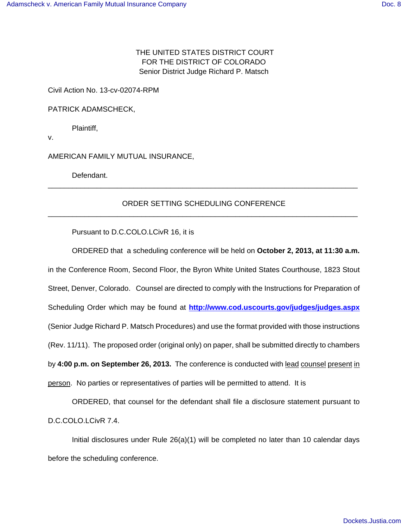THE UNITED STATES DISTRICT COURT FOR THE DISTRICT OF COLORADO Senior District Judge Richard P. Matsch

Civil Action No. 13-cv-02074-RPM

PATRICK ADAMSCHECK,

Plaintiff,

v.

AMERICAN FAMILY MUTUAL INSURANCE,

Defendant.

## ORDER SETTING SCHEDULING CONFERENCE \_\_\_\_\_\_\_\_\_\_\_\_\_\_\_\_\_\_\_\_\_\_\_\_\_\_\_\_\_\_\_\_\_\_\_\_\_\_\_\_\_\_\_\_\_\_\_\_\_\_\_\_\_\_\_\_\_\_\_\_\_\_\_\_\_\_\_\_\_\_\_\_\_\_\_\_

\_\_\_\_\_\_\_\_\_\_\_\_\_\_\_\_\_\_\_\_\_\_\_\_\_\_\_\_\_\_\_\_\_\_\_\_\_\_\_\_\_\_\_\_\_\_\_\_\_\_\_\_\_\_\_\_\_\_\_\_\_\_\_\_\_\_\_\_\_\_\_\_\_\_\_\_

Pursuant to D.C.COLO.LCivR 16, it is

ORDERED that a scheduling conference will be held on **October 2, 2013, at 11:30 a.m.** in the Conference Room, Second Floor, the Byron White United States Courthouse, 1823 Stout Street, Denver, Colorado. Counsel are directed to comply with the Instructions for Preparation of Scheduling Order which may be found at **http://www.cod.uscourts.gov/judges/judges.aspx** (Senior Judge Richard P. Matsch Procedures) and use the format provided with those instructions (Rev. 11/11). The proposed order (original only) on paper, shall be submitted directly to chambers by **4:00 p.m. on September 26, 2013.** The conference is conducted with lead counsel present in person. No parties or representatives of parties will be permitted to attend. It is

ORDERED, that counsel for the defendant shall file a disclosure statement pursuant to D.C.COLO.LCivR 7.4.

Initial disclosures under Rule 26(a)(1) will be completed no later than 10 calendar days before the scheduling conference.